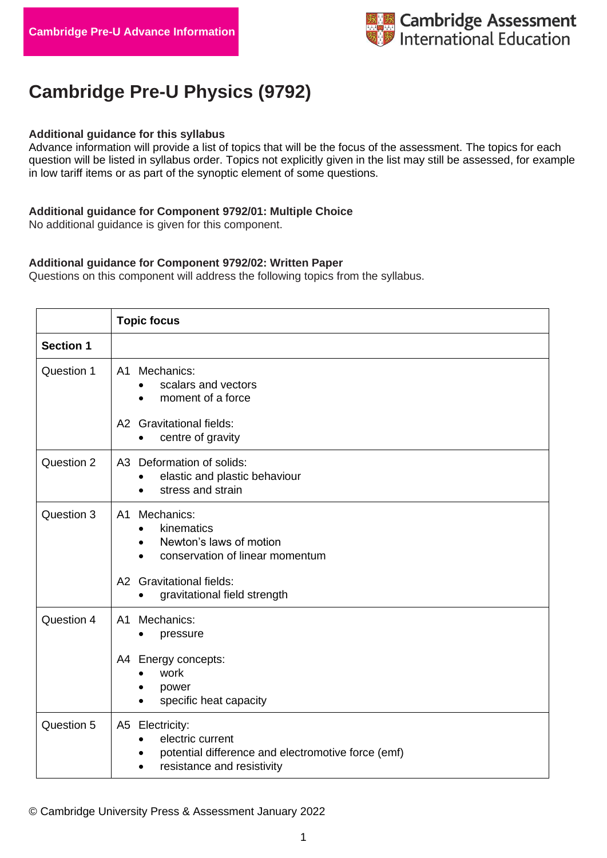# **Cambridge Pre-U Physics (9792)**

#### **Additional guidance for this syllabus**

Advance information will provide a list of topics that will be the focus of the assessment. The topics for each question will be listed in syllabus order. Topics not explicitly given in the list may still be assessed, for example in low tariff items or as part of the synoptic element of some questions.

### **Additional guidance for Component 9792/01: Multiple Choice**

No additional guidance is given for this component.

### **Additional guidance for Component 9792/02: Written Paper**

Questions on this component will address the following topics from the syllabus.

|                  | <b>Topic focus</b>                                                                                                      |
|------------------|-------------------------------------------------------------------------------------------------------------------------|
| <b>Section 1</b> |                                                                                                                         |
| Question 1       | A1 Mechanics:<br>scalars and vectors<br>moment of a force<br>$\bullet$                                                  |
|                  | A2 Gravitational fields:<br>centre of gravity<br>$\bullet$                                                              |
| Question 2       | A3 Deformation of solids:<br>elastic and plastic behaviour<br>stress and strain                                         |
| Question 3       | A1 Mechanics:<br>kinematics<br>$\bullet$<br>Newton's laws of motion<br>$\bullet$<br>conservation of linear momentum     |
|                  | A2 Gravitational fields:<br>gravitational field strength<br>$\bullet$                                                   |
| Question 4       | A1 Mechanics:<br>pressure<br>$\bullet$                                                                                  |
|                  | A4 Energy concepts:<br>work<br>power<br>specific heat capacity                                                          |
| Question 5       | A5 Electricity:<br>electric current<br>potential difference and electromotive force (emf)<br>resistance and resistivity |

© Cambridge University Press & Assessment January 2022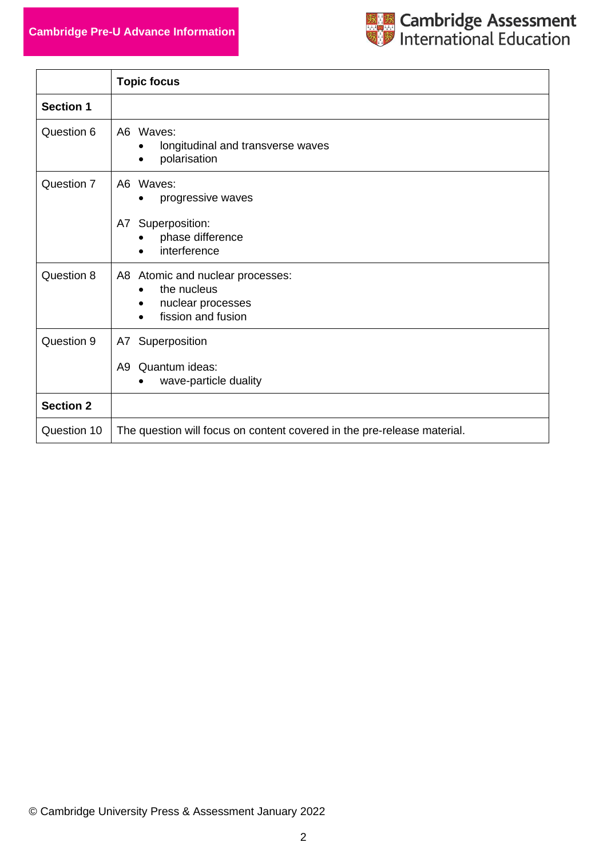## **Cambridge Pre-U Advance Information**



|                  | <b>Topic focus</b>                                                                                      |
|------------------|---------------------------------------------------------------------------------------------------------|
| <b>Section 1</b> |                                                                                                         |
| Question 6       | A6 Waves:<br>longitudinal and transverse waves<br>polarisation                                          |
| Question 7       | A6 Waves:<br>progressive waves                                                                          |
|                  | Superposition:<br>A7<br>phase difference<br>interference                                                |
| Question 8       | A8 Atomic and nuclear processes:<br>the nucleus<br>nuclear processes<br>fission and fusion<br>$\bullet$ |
| Question 9       | Superposition<br>A7                                                                                     |
|                  | Quantum ideas:<br>A9<br>wave-particle duality                                                           |
| <b>Section 2</b> |                                                                                                         |
| Question 10      | The question will focus on content covered in the pre-release material.                                 |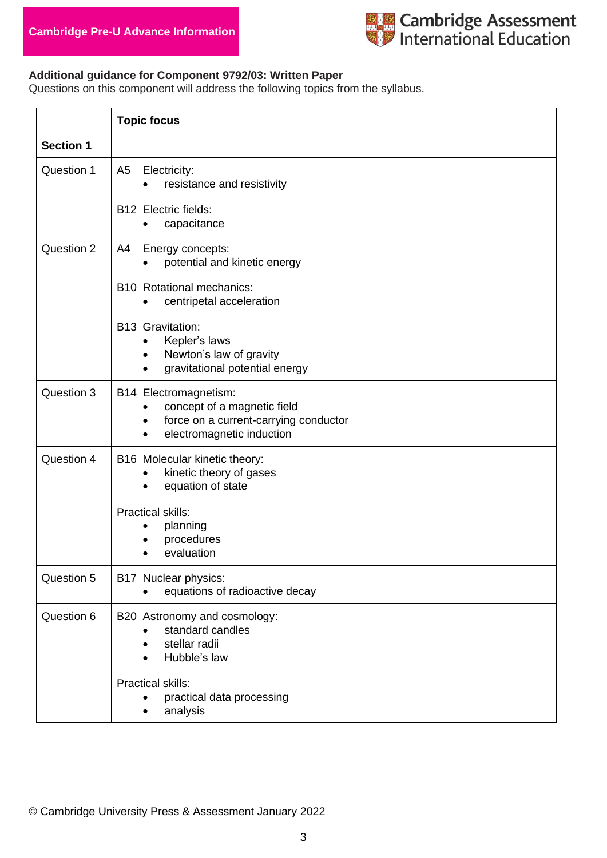

### **Additional guidance for Component 9792/03: Written Paper**

Questions on this component will address the following topics from the syllabus.

|                  | <b>Topic focus</b>                                                                                                                                   |
|------------------|------------------------------------------------------------------------------------------------------------------------------------------------------|
| <b>Section 1</b> |                                                                                                                                                      |
| Question 1       | A <sub>5</sub><br>Electricity:<br>resistance and resistivity<br><b>B12 Electric fields:</b>                                                          |
|                  | capacitance<br>$\bullet$                                                                                                                             |
| Question 2       | Energy concepts:<br>A4<br>potential and kinetic energy                                                                                               |
|                  | <b>B10 Rotational mechanics:</b><br>centripetal acceleration                                                                                         |
|                  | <b>B13 Gravitation:</b><br>Kepler's laws<br>Newton's law of gravity<br>$\bullet$<br>gravitational potential energy                                   |
| Question 3       | B14 Electromagnetism:<br>concept of a magnetic field<br>force on a current-carrying conductor<br>$\bullet$<br>electromagnetic induction<br>$\bullet$ |
| Question 4       | B16 Molecular kinetic theory:<br>kinetic theory of gases<br>equation of state<br>$\bullet$                                                           |
|                  | <b>Practical skills:</b><br>planning<br>procedures<br>evaluation                                                                                     |
| Question 5       | B17 Nuclear physics:<br>equations of radioactive decay                                                                                               |
| Question 6       | B20 Astronomy and cosmology:<br>standard candles<br>stellar radii<br>Hubble's law                                                                    |
|                  | <b>Practical skills:</b><br>practical data processing<br>analysis                                                                                    |